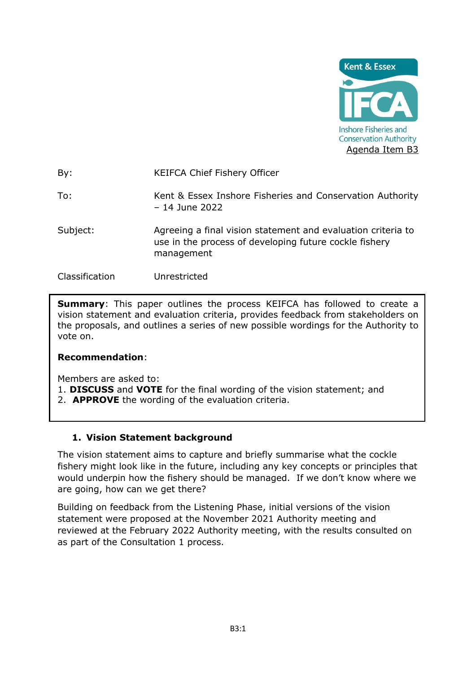

By: KEIFCA Chief Fishery Officer

To: Kent & Essex Inshore Fisheries and Conservation Authority – 14 June 2022

Subject: Agreeing a final vision statement and evaluation criteria to use in the process of developing future cockle fishery management

Classification Unrestricted

**Summary:** This paper outlines the process KEIFCA has followed to create a vision statement and evaluation criteria, provides feedback from stakeholders on the proposals, and outlines a series of new possible wordings for the Authority to vote on.

## **Recommendation**:

Members are asked to:

- 1. **DISCUSS** and **VOTE** for the final wording of the vision statement; and
- 2. **APPROVE** the wording of the evaluation criteria.

## **1. Vision Statement background**

The vision statement aims to capture and briefly summarise what the cockle fishery might look like in the future, including any key concepts or principles that would underpin how the fishery should be managed. If we don't know where we are going, how can we get there?

Building on feedback from the Listening Phase, initial versions of the vision statement were proposed at the November 2021 Authority meeting and reviewed at the February 2022 Authority meeting, with the results consulted on as part of the Consultation 1 process.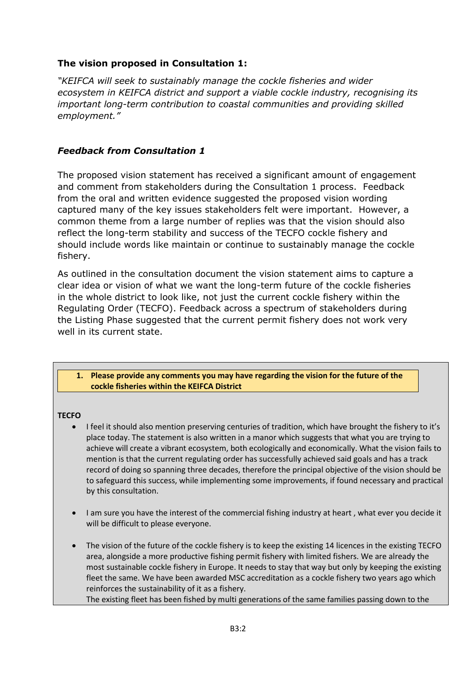## **The vision proposed in Consultation 1:**

*"KEIFCA will seek to sustainably manage the cockle fisheries and wider ecosystem in KEIFCA district and support a viable cockle industry, recognising its important long-term contribution to coastal communities and providing skilled employment."*

## *Feedback from Consultation 1*

The proposed vision statement has received a significant amount of engagement and comment from stakeholders during the Consultation 1 process. Feedback from the oral and written evidence suggested the proposed vision wording captured many of the key issues stakeholders felt were important. However, a common theme from a large number of replies was that the vision should also reflect the long-term stability and success of the TECFO cockle fishery and should include words like maintain or continue to sustainably manage the cockle fishery.

As outlined in the consultation document the vision statement aims to capture a clear idea or vision of what we want the long-term future of the cockle fisheries in the whole district to look like, not just the current cockle fishery within the Regulating Order (TECFO). Feedback across a spectrum of stakeholders during the Listing Phase suggested that the current permit fishery does not work very well in its current state.

### **1. Please provide any comments you may have regarding the vision for the future of the cockle fisheries within the KEIFCA District**

### **TECFO**

- I feel it should also mention preserving centuries of tradition, which have brought the fishery to it's place today. The statement is also written in a manor which suggests that what you are trying to achieve will create a vibrant ecosystem, both ecologically and economically. What the vision fails to mention is that the current regulating order has successfully achieved said goals and has a track record of doing so spanning three decades, therefore the principal objective of the vision should be to safeguard this success, while implementing some improvements, if found necessary and practical by this consultation.
- I am sure you have the interest of the commercial fishing industry at heart , what ever you decide it will be difficult to please everyone.
- The vision of the future of the cockle fishery is to keep the existing 14 licences in the existing TECFO area, alongside a more productive fishing permit fishery with limited fishers. We are already the most sustainable cockle fishery in Europe. It needs to stay that way but only by keeping the existing fleet the same. We have been awarded MSC accreditation as a cockle fishery two years ago which reinforces the sustainability of it as a fishery.

The existing fleet has been fished by multi generations of the same families passing down to the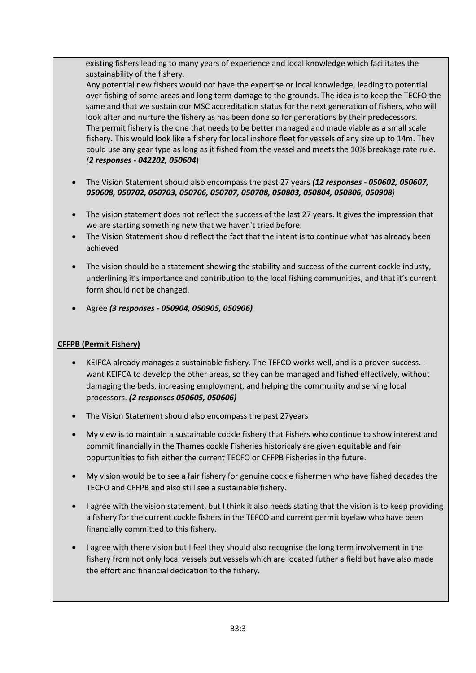existing fishers leading to many years of experience and local knowledge which facilitates the sustainability of the fishery.

Any potential new fishers would not have the expertise or local knowledge, leading to potential over fishing of some areas and long term damage to the grounds. The idea is to keep the TECFO the same and that we sustain our MSC accreditation status for the next generation of fishers, who will look after and nurture the fishery as has been done so for generations by their predecessors. The permit fishery is the one that needs to be better managed and made viable as a small scale fishery. This would look like a fishery for local inshore fleet for vessels of any size up to 14m. They could use any gear type as long as it fished from the vessel and meets the 10% breakage rate rule. *(2 responses - 042202, 050604***)**

- The Vision Statement should also encompass the past 27 years *(12 responses - 050602, 050607, 050608, 050702, 050703, 050706, 050707, 050708, 050803, 050804, 050806, 050908)*
- The vision statement does not reflect the success of the last 27 years. It gives the impression that we are starting something new that we haven't tried before.
- The Vision Statement should reflect the fact that the intent is to continue what has already been achieved
- The vision should be a statement showing the stability and success of the current cockle industy, underlining it's importance and contribution to the local fishing communities, and that it's current form should not be changed.
- Agree *(3 responses - 050904, 050905, 050906)*

### **CFFPB (Permit Fishery)**

- KEIFCA already manages a sustainable fishery. The TEFCO works well, and is a proven success. I want KEIFCA to develop the other areas, so they can be managed and fished effectively, without damaging the beds, increasing employment, and helping the community and serving local processors. *(2 responses 050605, 050606)*
- The Vision Statement should also encompass the past 27years
- My view is to maintain a sustainable cockle fishery that Fishers who continue to show interest and commit financially in the Thames cockle Fisheries historicaly are given equitable and fair oppurtunities to fish either the current TECFO or CFFPB Fisheries in the future.
- My vision would be to see a fair fishery for genuine cockle fishermen who have fished decades the TECFO and CFFPB and also still see a sustainable fishery.
- I agree with the vision statement, but I think it also needs stating that the vision is to keep providing a fishery for the current cockle fishers in the TEFCO and current permit byelaw who have been financially committed to this fishery.
- I agree with there vision but I feel they should also recognise the long term involvement in the fishery from not only local vessels but vessels which are located futher a field but have also made the effort and financial dedication to the fishery.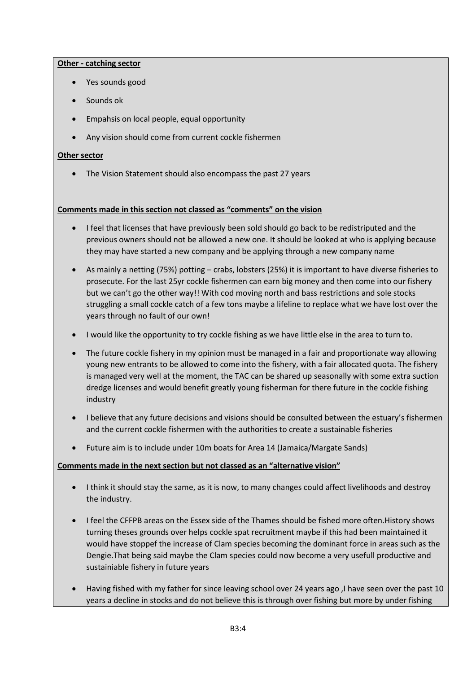### **Other - catching sector**

- Yes sounds good
- Sounds ok
- Empahsis on local people, equal opportunity
- Any vision should come from current cockle fishermen

### **Other sector**

• The Vision Statement should also encompass the past 27 years

### **Comments made in this section not classed as "comments" on the vision**

- I feel that licenses that have previously been sold should go back to be redistriputed and the previous owners should not be allowed a new one. It should be looked at who is applying because they may have started a new company and be applying through a new company name
- As mainly a netting (75%) potting crabs, lobsters (25%) it is important to have diverse fisheries to prosecute. For the last 25yr cockle fishermen can earn big money and then come into our fishery but we can't go the other way!! With cod moving north and bass restrictions and sole stocks struggling a small cockle catch of a few tons maybe a lifeline to replace what we have lost over the years through no fault of our own!
- I would like the opportunity to try cockle fishing as we have little else in the area to turn to.
- The future cockle fishery in my opinion must be managed in a fair and proportionate way allowing young new entrants to be allowed to come into the fishery, with a fair allocated quota. The fishery is managed very well at the moment, the TAC can be shared up seasonally with some extra suction dredge licenses and would benefit greatly young fisherman for there future in the cockle fishing industry
- I believe that any future decisions and visions should be consulted between the estuary's fishermen and the current cockle fishermen with the authorities to create a sustainable fisheries
- Future aim is to include under 10m boats for Area 14 (Jamaica/Margate Sands)

### **Comments made in the next section but not classed as an "alternative vision"**

- I think it should stay the same, as it is now, to many changes could affect livelihoods and destroy the industry.
- I feel the CFFPB areas on the Essex side of the Thames should be fished more often.History shows turning theses grounds over helps cockle spat recruitment maybe if this had been maintained it would have stoppef the increase of Clam species becoming the dominant force in areas such as the Dengie.That being said maybe the Clam species could now become a very usefull productive and sustainiable fishery in future years
- Having fished with my father for since leaving school over 24 years ago ,I have seen over the past 10 years a decline in stocks and do not believe this is through over fishing but more by under fishing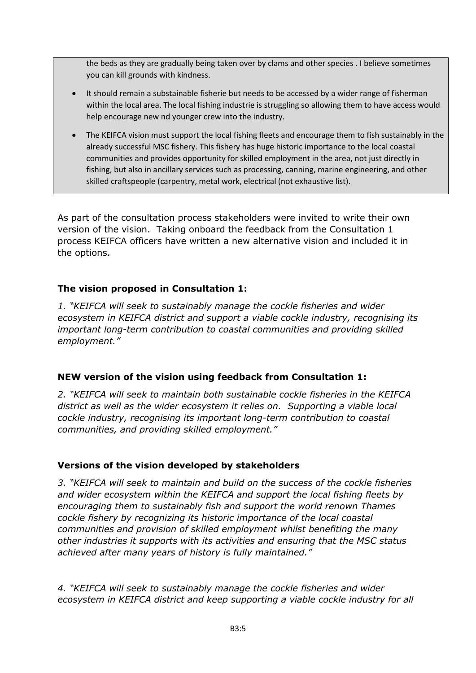the beds as they are gradually being taken over by clams and other species . I believe sometimes you can kill grounds with kindness.

- It should remain a substainable fisherie but needs to be accessed by a wider range of fisherman within the local area. The local fishing industrie is struggling so allowing them to have access would help encourage new nd younger crew into the industry.
- The KEIFCA vision must support the local fishing fleets and encourage them to fish sustainably in the already successful MSC fishery. This fishery has huge historic importance to the local coastal communities and provides opportunity for skilled employment in the area, not just directly in fishing, but also in ancillary services such as processing, canning, marine engineering, and other skilled craftspeople (carpentry, metal work, electrical (not exhaustive list).

As part of the consultation process stakeholders were invited to write their own version of the vision. Taking onboard the feedback from the Consultation 1 process KEIFCA officers have written a new alternative vision and included it in the options.

# **The vision proposed in Consultation 1:**

*1. "KEIFCA will seek to sustainably manage the cockle fisheries and wider ecosystem in KEIFCA district and support a viable cockle industry, recognising its important long-term contribution to coastal communities and providing skilled employment."*

# **NEW version of the vision using feedback from Consultation 1:**

*2. "KEIFCA will seek to maintain both sustainable cockle fisheries in the KEIFCA district as well as the wider ecosystem it relies on. Supporting a viable local cockle industry, recognising its important long-term contribution to coastal communities, and providing skilled employment."*

# **Versions of the vision developed by stakeholders**

*3. "KEIFCA will seek to maintain and build on the success of the cockle fisheries and wider ecosystem within the KEIFCA and support the local fishing fleets by encouraging them to sustainably fish and support the world renown Thames cockle fishery by recognizing its historic importance of the local coastal communities and provision of skilled employment whilst benefiting the many other industries it supports with its activities and ensuring that the MSC status achieved after many years of history is fully maintained."*

*4. "KEIFCA will seek to sustainably manage the cockle fisheries and wider ecosystem in KEIFCA district and keep supporting a viable cockle industry for all*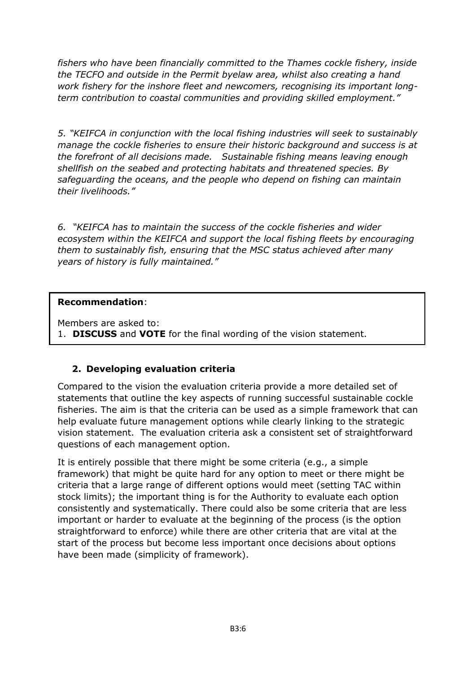*fishers who have been financially committed to the Thames cockle fishery, inside the TECFO and outside in the Permit byelaw area, whilst also creating a hand work fishery for the inshore fleet and newcomers, recognising its important longterm contribution to coastal communities and providing skilled employment."*

*5. "KEIFCA in conjunction with the local fishing industries will seek to sustainably manage the cockle fisheries to ensure their historic background and success is at the forefront of all decisions made. Sustainable fishing means leaving enough shellfish on the seabed and protecting habitats and threatened species. By safeguarding the oceans, and the people who depend on fishing can maintain their livelihoods."*

*6. "KEIFCA has to maintain the success of the cockle fisheries and wider ecosystem within the KEIFCA and support the local fishing fleets by encouraging them to sustainably fish, ensuring that the MSC status achieved after many years of history is fully maintained."*

## **Recommendation**:

Members are asked to:

1. **DISCUSS** and **VOTE** for the final wording of the vision statement.

# **2. Developing evaluation criteria**

Compared to the vision the evaluation criteria provide a more detailed set of statements that outline the key aspects of running successful sustainable cockle fisheries. The aim is that the criteria can be used as a simple framework that can help evaluate future management options while clearly linking to the strategic vision statement. The evaluation criteria ask a consistent set of straightforward questions of each management option.

It is entirely possible that there might be some criteria (e.g., a simple framework) that might be quite hard for any option to meet or there might be criteria that a large range of different options would meet (setting TAC within stock limits); the important thing is for the Authority to evaluate each option consistently and systematically. There could also be some criteria that are less important or harder to evaluate at the beginning of the process (is the option straightforward to enforce) while there are other criteria that are vital at the start of the process but become less important once decisions about options have been made (simplicity of framework).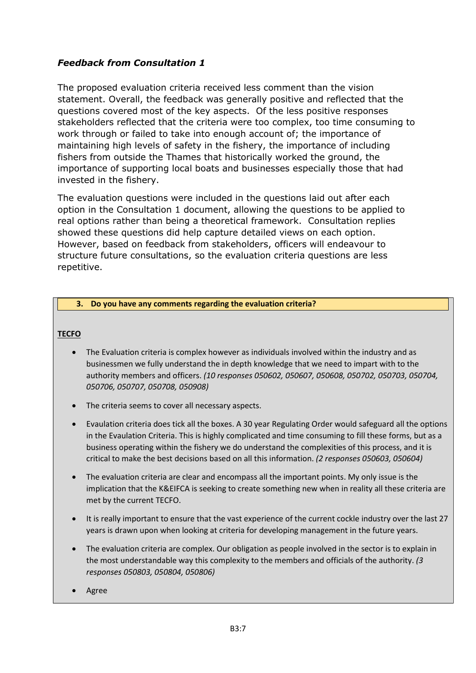# *Feedback from Consultation 1*

The proposed evaluation criteria received less comment than the vision statement. Overall, the feedback was generally positive and reflected that the questions covered most of the key aspects. Of the less positive responses stakeholders reflected that the criteria were too complex, too time consuming to work through or failed to take into enough account of; the importance of maintaining high levels of safety in the fishery, the importance of including fishers from outside the Thames that historically worked the ground, the importance of supporting local boats and businesses especially those that had invested in the fishery.

The evaluation questions were included in the questions laid out after each option in the Consultation 1 document, allowing the questions to be applied to real options rather than being a theoretical framework. Consultation replies showed these questions did help capture detailed views on each option. However, based on feedback from stakeholders, officers will endeavour to structure future consultations, so the evaluation criteria questions are less repetitive.

### **3. Do you have any comments regarding the evaluation criteria?**

### **TECFO**

- The Evaluation criteria is complex however as individuals involved within the industry and as businessmen we fully understand the in depth knowledge that we need to impart with to the authority members and officers. *(10 responses 050602, 050607, 050608, 050702, 050703, 050704, 050706, 050707, 050708, 050908)*
- The criteria seems to cover all necessary aspects.
- Evaulation criteria does tick all the boxes. A 30 year Regulating Order would safeguard all the options in the Evaulation Criteria. This is highly complicated and time consuming to fill these forms, but as a business operating within the fishery we do understand the complexities of this process, and it is critical to make the best decisions based on all this information. *(2 responses 050603, 050604)*
- The evaluation criteria are clear and encompass all the important points. My only issue is the implication that the K&EIFCA is seeking to create something new when in reality all these criteria are met by the current TECFO.
- It is really important to ensure that the vast experience of the current cockle industry over the last 27 years is drawn upon when looking at criteria for developing management in the future years.
- The evaluation criteria are complex. Our obligation as people involved in the sector is to explain in the most understandable way this complexity to the members and officials of the authority. *(3 responses 050803, 050804, 050806)*
- Agree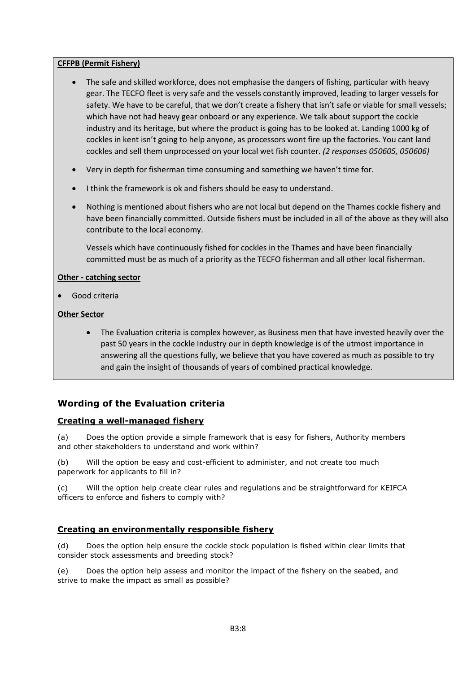### **CFFPB (Permit Fishery)**

- The safe and skilled workforce, does not emphasise the dangers of fishing, particular with heavy gear. The TECFO fleet is very safe and the vessels constantly improved, leading to larger vessels for safety. We have to be careful, that we don't create a fishery that isn't safe or viable for small vessels; which have not had heavy gear onboard or any experience. We talk about support the cockle industry and its heritage, but where the product is going has to be looked at. Landing 1000 kg of cockles in kent isn't going to help anyone, as processors wont fire up the factories. You cant land cockles and sell them unprocessed on your local wet fish counter. *(2 responses 050605, 050606)*
- Very in depth for fisherman time consuming and something we haven't time for.
- I think the framework is ok and fishers should be easy to understand.
- Nothing is mentioned about fishers who are not local but depend on the Thames cockle fishery and have been financially committed. Outside fishers must be included in all of the above as they will also contribute to the local economy.

Vessels which have continuously fished for cockles in the Thames and have been financially committed must be as much of a priority as the TECFO fisherman and all other local fisherman.

### **Other - catching sector**

• Good criteria

### **Other Sector**

• The Evaluation criteria is complex however, as Business men that have invested heavily over the past 50 years in the cockle Industry our in depth knowledge is of the utmost importance in answering all the questions fully, we believe that you have covered as much as possible to try and gain the insight of thousands of years of combined practical knowledge.

## **Wording of the Evaluation criteria**

### **Creating a well-managed fishery**

(a) Does the option provide a simple framework that is easy for fishers, Authority members and other stakeholders to understand and work within?

(b) Will the option be easy and cost-efficient to administer, and not create too much paperwork for applicants to fill in?

(c) Will the option help create clear rules and regulations and be straightforward for KEIFCA officers to enforce and fishers to comply with?

### **Creating an environmentally responsible fishery**

(d) Does the option help ensure the cockle stock population is fished within clear limits that consider stock assessments and breeding stock?

(e) Does the option help assess and monitor the impact of the fishery on the seabed, and strive to make the impact as small as possible?